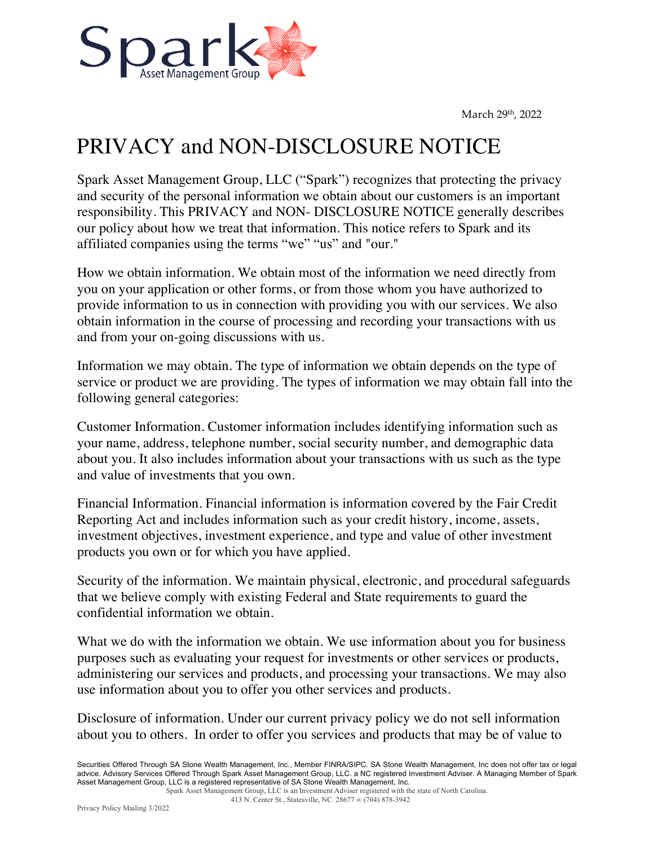March 29<sup>th</sup>, 2022



## PRIVACY and NON-DISCLOSURE NOTICE

Spark Asset Management Group, LLC ("Spark") recognizes that protecting the privacy and security of the personal information we obtain about our customers is an important responsibility. This PRIVACY and NON- DISCLOSURE NOTICE generally describes our policy about how we treat that information. This notice refers to Spark and its affiliated companies using the terms "we" "us" and "our."

How we obtain information. We obtain most of the information we need directly from you on your application or other forms, or from those whom you have authorized to provide information to us in connection with providing you with our services. We also obtain information in the course of processing and recording your transactions with us and from your on-going discussions with us.

Information we may obtain. The type of information we obtain depends on the type of service or product we are providing. The types of information we may obtain fall into the following general categories:

Customer Information. Customer information includes identifying information such as your name, address, telephone number, social security number, and demographic data about you. It also includes information about your transactions with us such as the type and value of investments that you own.

Financial Information. Financial information is information covered by the Fair Credit Reporting Act and includes information such as your credit history, income, assets, investment objectives, investment experience, and type and value of other investment products you own or for which you have applied.

Security of the information. We maintain physical, electronic, and procedural safeguards that we believe comply with existing Federal and State requirements to guard the confidential information we obtain.

What we do with the information we obtain. We use information about you for business purposes such as evaluating your request for investments or other services or products, administering our services and products, and processing your transactions. We may also use information about you to offer you other services and products.

Disclosure of information. Under our current privacy policy we do not sell information about you to others. In order to offer you services and products that may be of value to

Securities Offered Through SA Stone Wealth Management, Inc., Member FINRA/SIPC. SA Stone Wealth Management, Inc does not offer tax or legal advice. Advisory Services Offered Through Spark Asset Management Group, LLC. a NC registered Investment Adviser. A Managing Member of Spark Asset Management Group, LLC is a registered representative of SA Stone Wealth Management, Inc.